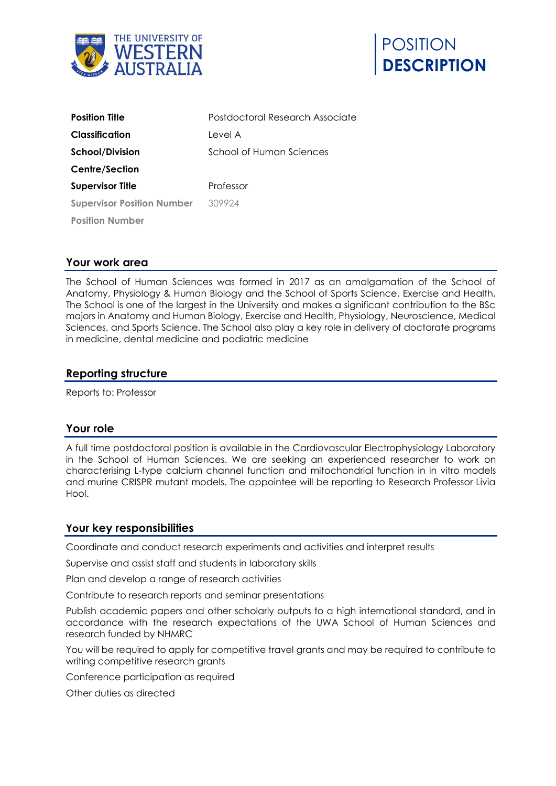



| <b>Position Title</b>             | Postdoctoral Research Associate |
|-----------------------------------|---------------------------------|
| Classification                    | Level A                         |
| <b>School/Division</b>            | School of Human Sciences        |
| <b>Centre/Section</b>             |                                 |
| <b>Supervisor Title</b>           | Professor                       |
| <b>Supervisor Position Number</b> | 309924                          |
| <b>Position Number</b>            |                                 |

### **Your work area**

The School of Human Sciences was formed in 2017 as an amalgamation of the School of Anatomy, Physiology & Human Biology and the School of Sports Science, Exercise and Health. The School is one of the largest in the University and makes a significant contribution to the BSc majors in Anatomy and Human Biology, Exercise and Health, Physiology, Neuroscience, Medical Sciences, and Sports Science. The School also play a key role in delivery of doctorate programs in medicine, dental medicine and podiatric medicine

### **Reporting structure**

Reports to: Professor

### **Your role**

A full time postdoctoral position is available in the Cardiovascular Electrophysiology Laboratory in the School of Human Sciences. We are seeking an experienced researcher to work on characterising L-type calcium channel function and mitochondrial function in in vitro models and murine CRISPR mutant models. The appointee will be reporting to Research Professor Livia Hool.

#### **Your key responsibilities**

Coordinate and conduct research experiments and activities and interpret results

Supervise and assist staff and students in laboratory skills

Plan and develop a range of research activities

Contribute to research reports and seminar presentations

Publish academic papers and other scholarly outputs to a high international standard, and in accordance with the research expectations of the UWA School of Human Sciences and research funded by NHMRC

You will be required to apply for competitive travel grants and may be required to contribute to writing competitive research grants

Conference participation as required

Other duties as directed